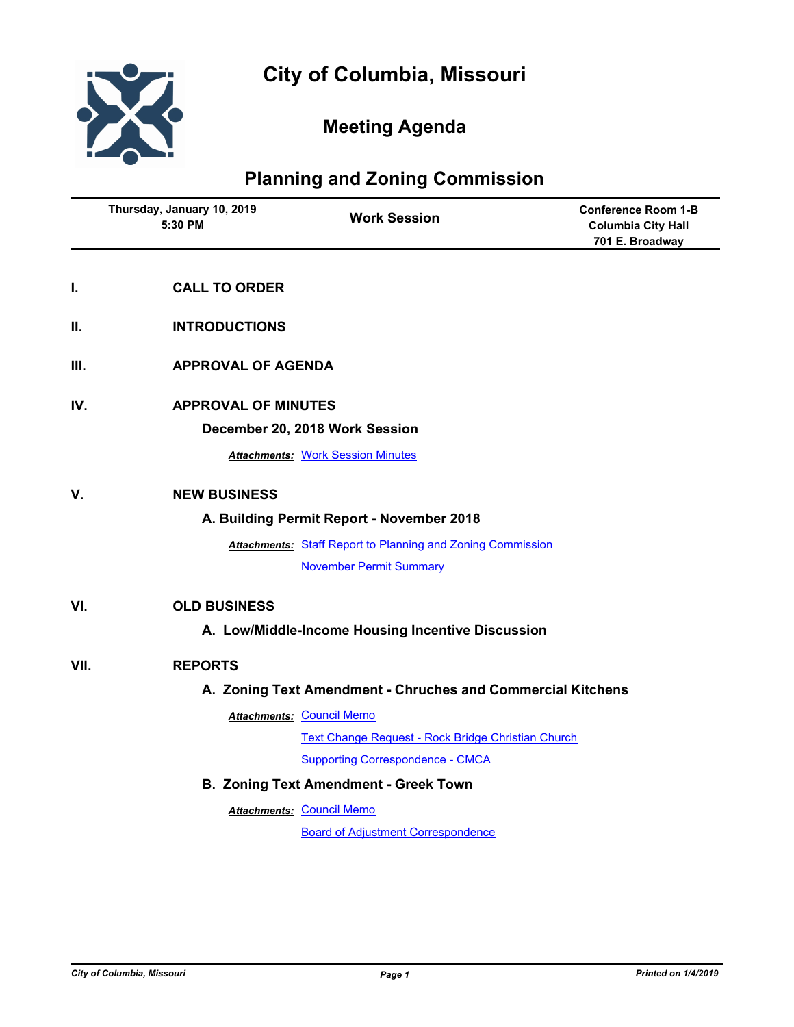

## **Meeting Agenda**

## **Planning and Zoning Commission**

|      | Thursday, January 10, 2019<br>5:30 PM                       | <b>Work Session</b>                                                | <b>Conference Room 1-B</b><br><b>Columbia City Hall</b><br>701 E. Broadway |
|------|-------------------------------------------------------------|--------------------------------------------------------------------|----------------------------------------------------------------------------|
| I.   | <b>CALL TO ORDER</b>                                        |                                                                    |                                                                            |
| Ш.   | <b>INTRODUCTIONS</b>                                        |                                                                    |                                                                            |
| Ш.   | <b>APPROVAL OF AGENDA</b>                                   |                                                                    |                                                                            |
| IV.  | <b>APPROVAL OF MINUTES</b>                                  |                                                                    |                                                                            |
|      |                                                             | December 20, 2018 Work Session                                     |                                                                            |
|      |                                                             | <b>Attachments: Work Session Minutes</b>                           |                                                                            |
| V.   | <b>NEW BUSINESS</b>                                         |                                                                    |                                                                            |
|      |                                                             | A. Building Permit Report - November 2018                          |                                                                            |
|      |                                                             | <b>Attachments: Staff Report to Planning and Zoning Commission</b> |                                                                            |
|      |                                                             | <b>November Permit Summary</b>                                     |                                                                            |
| VI.  | <b>OLD BUSINESS</b>                                         |                                                                    |                                                                            |
|      |                                                             | A. Low/Middle-Income Housing Incentive Discussion                  |                                                                            |
| VII. | <b>REPORTS</b>                                              |                                                                    |                                                                            |
|      | A. Zoning Text Amendment - Chruches and Commercial Kitchens |                                                                    |                                                                            |
|      |                                                             | <b>Attachments: Council Memo</b>                                   |                                                                            |
|      |                                                             | Text Change Request - Rock Bridge Christian Church                 |                                                                            |
|      |                                                             | <b>Supporting Correspondence - CMCA</b>                            |                                                                            |
|      |                                                             | <b>B. Zoning Text Amendment - Greek Town</b>                       |                                                                            |
|      |                                                             | <b>Attachments: Council Memo</b>                                   |                                                                            |
|      |                                                             | <b>Board of Adjustment Correspondence</b>                          |                                                                            |